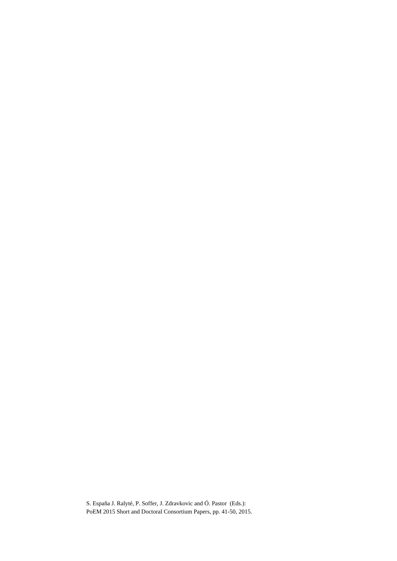S. España J. Ralyté, P. Soffer, J. Zdravkovic and Ó. Pastor (Eds.): PoEM 2015 Short and Doctoral Consortium Papers, pp. 41-50, 2015.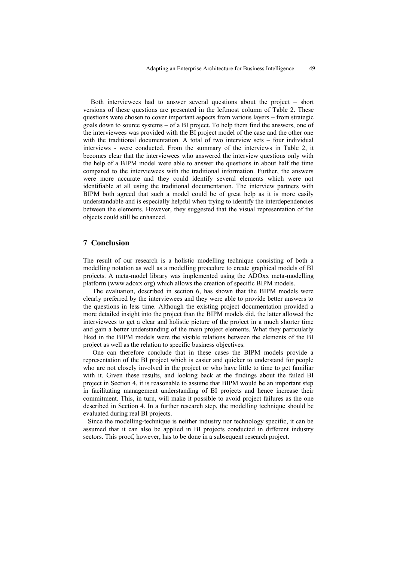Both interviewees had to answer several questions about the project – short versions of these questions are presented in the leftmost column of [Table 2.](#page-7-0) These questions were chosen to cover important aspects from various layers – from strategic goals down to source systems – of a BI project. To help them find the answers, one of the interviewees was provided with the BI project model of the case and the other one with the traditional documentation. A total of two interview sets – four individual interviews - were conducted. From the summary of the interviews in [Table 2,](#page-7-0) it becomes clear that the interviewees who answered the interview questions only with the help of a BIPM model were able to answer the questions in about half the time compared to the interviewees with the traditional information. Further, the answers were more accurate and they could identify several elements which were not identifiable at all using the traditional documentation. The interview partners with BIPM both agreed that such a model could be of great help as it is more easily understandable and is especially helpful when trying to identify the interdependencies between the elements. However, they suggested that the visual representation of the objects could still be enhanced.

## **7 Conclusion**

The result of our research is a holistic modelling technique consisting of both a modelling notation as well as a modelling procedure to create graphical models of BI projects. A meta-model library was implemented using the ADOxx meta-modelling platform (www.adoxx.org) which allows the creation of specific BIPM models.

The evaluation, described in section 6, has shown that the BIPM models were clearly preferred by the interviewees and they were able to provide better answers to the questions in less time. Although the existing project documentation provided a more detailed insight into the project than the BIPM models did, the latter allowed the interviewees to get a clear and holistic picture of the project in a much shorter time and gain a better understanding of the main project elements. What they particularly liked in the BIPM models were the visible relations between the elements of the BI project as well as the relation to specific business objectives.

One can therefore conclude that in these cases the BIPM models provide a representation of the BI project which is easier and quicker to understand for people who are not closely involved in the project or who have little to time to get familiar with it. Given these results, and looking back at the findings about the failed BI project in Section 4, it is reasonable to assume that BIPM would be an important step in facilitating management understanding of BI projects and hence increase their commitment. This, in turn, will make it possible to avoid project failures as the one described in Section 4. In a further research step, the modelling technique should be evaluated during real BI projects.

Since the modelling-technique is neither industry nor technology specific, it can be assumed that it can also be applied in BI projects conducted in different industry sectors. This proof, however, has to be done in a subsequent research project.